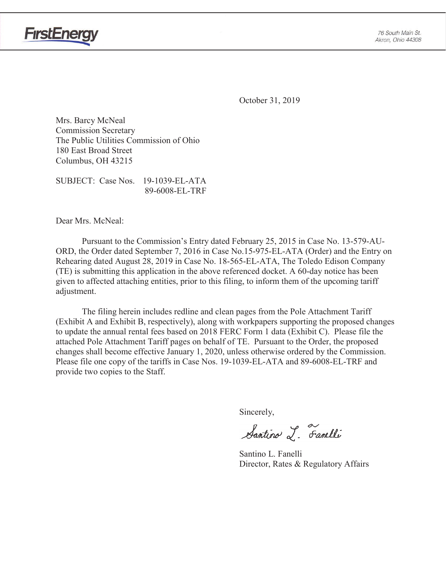

October 31, 2019

Mrs. Barcy McNeal Commission Secretary The Public Utilities Commission of Ohio 180 East Broad Street Columbus, OH 43215

SUBJECT: Case Nos. 19-1039-EL-ATA 89-6008-EL-TRF

Dear Mrs. McNeal:

**FirstEnerg** 

 Pursuant to the Commission's Entry dated February 25, 2015 in Case No. 13-579-AU-ORD, the Order dated September 7, 2016 in Case No.15-975-EL-ATA (Order) and the Entry on Rehearing dated August 28, 2019 in Case No. 18-565-EL-ATA, The Toledo Edison Company (TE) is submitting this application in the above referenced docket. A 60-day notice has been given to affected attaching entities, prior to this filing, to inform them of the upcoming tariff adjustment.

The filing herein includes redline and clean pages from the Pole Attachment Tariff (Exhibit A and Exhibit B, respectively), along with workpapers supporting the proposed changes to update the annual rental fees based on 2018 FERC Form 1 data (Exhibit C). Please file the attached Pole Attachment Tariff pages on behalf of TE. Pursuant to the Order, the proposed changes shall become effective January 1, 2020, unless otherwise ordered by the Commission. Please file one copy of the tariffs in Case Nos. 19-1039-EL-ATA and 89-6008-EL-TRF and provide two copies to the Staff.

Sincerely,

Santino L. Farelli

 Santino L. Fanelli Director, Rates & Regulatory Affairs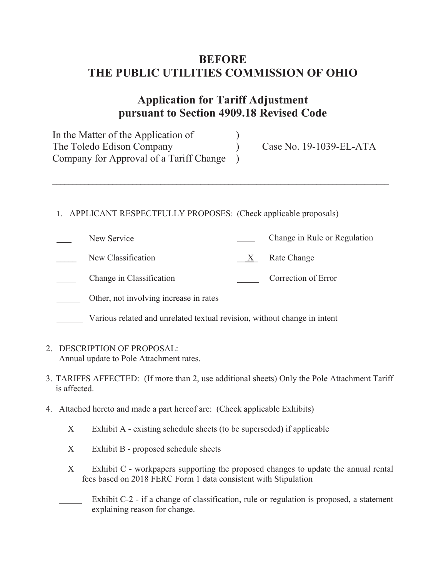# **BEFORE THE PUBLIC UTILITIES COMMISSION OF OHIO**

# **Application for Tariff Adjustment pursuant to Section 4909.18 Revised Code**

 $\mathcal{L}_\mathcal{L} = \{ \mathcal{L}_\mathcal{L} = \{ \mathcal{L}_\mathcal{L} = \{ \mathcal{L}_\mathcal{L} = \{ \mathcal{L}_\mathcal{L} = \{ \mathcal{L}_\mathcal{L} = \{ \mathcal{L}_\mathcal{L} = \{ \mathcal{L}_\mathcal{L} = \{ \mathcal{L}_\mathcal{L} = \{ \mathcal{L}_\mathcal{L} = \{ \mathcal{L}_\mathcal{L} = \{ \mathcal{L}_\mathcal{L} = \{ \mathcal{L}_\mathcal{L} = \{ \mathcal{L}_\mathcal{L} = \{ \mathcal{L}_\mathcal{$ 

In the Matter of the Application of The Toledo Edison Company (Case No. 19-1039-EL-ATA Company for Approval of a Tariff Change )

### 1. APPLICANT RESPECTFULLY PROPOSES: (Check applicable proposals)

- New Service Change in Rule or Regulation New Classification  $X$  Rate Change Change in Classification **Correction Correction of Error** Other, not involving increase in rates
- Various related and unrelated textual revision, without change in intent
- 2. DESCRIPTION OF PROPOSAL: Annual update to Pole Attachment rates.
- 3. TARIFFS AFFECTED: (If more than 2, use additional sheets) Only the Pole Attachment Tariff is affected.
- 4. Attached hereto and made a part hereof are: (Check applicable Exhibits)
	- $X$  Exhibit A existing schedule sheets (to be superseded) if applicable
	- $X$  Exhibit B proposed schedule sheets
	- $X$  Exhibit C workpapers supporting the proposed changes to update the annual rental fees based on 2018 FERC Form 1 data consistent with Stipulation
	- Exhibit C-2 if a change of classification, rule or regulation is proposed, a statement explaining reason for change.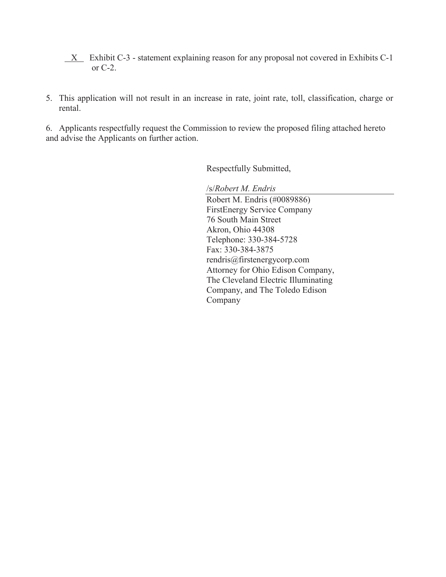- $X$  Exhibit C-3 statement explaining reason for any proposal not covered in Exhibits C-1 or C-2.
- 5. This application will not result in an increase in rate, joint rate, toll, classification, charge or rental.

6. Applicants respectfully request the Commission to review the proposed filing attached hereto and advise the Applicants on further action.

Respectfully Submitted,

/s/*Robert M. Endris*

Robert M. Endris (#0089886) FirstEnergy Service Company 76 South Main Street Akron, Ohio 44308 Telephone: 330-384-5728 Fax: 330-384-3875 rendris@firstenergycorp.com Attorney for Ohio Edison Company, The Cleveland Electric Illuminating Company, and The Toledo Edison Company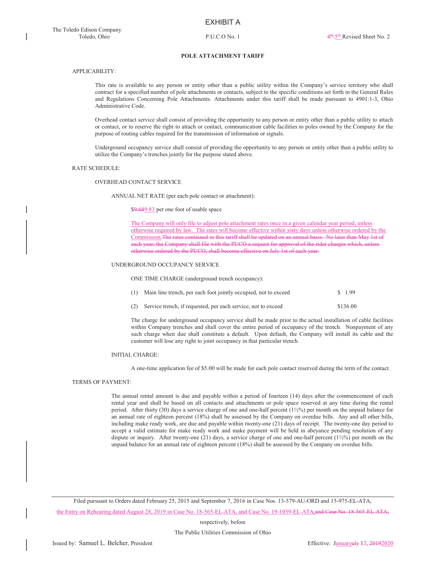### POLE ATTACHMENT TARIFF

### APPLICABILITY:

This rate is available to any person or entity other than a public utility within the Company's service territory who shall contract for a specified number of pole attachments or contacts, subject to the specific conditions set forth in the General Rules and Regulations Concerning Pole Attachments. Attachments under this tariff shall be made pursuant to 4901:1-3, Ohio Administrative Code.

Overhead contact service shall consist of providing the opportunity to any person or entity other than a public utility to attach or contact, or to reserve the right to attach or contact, communication cable facilities to poles owned by the Company for the purpose of routing cables required for the transmission of information or signals.

Underground occupancy service shall consist of providing the opportunity to any person or entity other than a public utility to utilize the Company's trenches jointly for the purpose stated above.

### RATE SCHEDULE:

#### OVERHEAD CONTACT SERVICE

ANNUAL NET RATE (per each pole contact or attachment):

\$9.689.83 per one foot of usable space

The Company will only file to adjust pole attachment rates once in a given calendar year period, unless otherwise required by law. The rates will become effective within sixty days unless otherwise ordered by the Commission.The rates contained in this tariff shall be updated on an annual basis. No later than May 1st of each year, the Company shall file with the PUCO a request for approval of the rider charges which, unless otherwise ordered by the PUCO, shall become effective on July 1st of each year.

#### UNDERGROUND OCCUPANCY SERVICE

ONE TIME CHARGE (underground trench occupancy):

| (1) Main line trench, per each foot jointly occupied, not to exceed | \$ 1.99 |
|---------------------------------------------------------------------|---------|
|                                                                     |         |

(2) Service trench, if requested, per each service, not to exceed \$136.00

The charge for underground occupancy service shall be made prior to the actual installation of cable facilities within Company trenches and shall cover the entire period of occupancy of the trench. Nonpayment of any such charge when due shall constitute a default. Upon default, the Company will install its cable and the customer will lose any right to joint occupancy in that particular trench.

#### INITIAL CHARGE:

A one-time application fee of \$5.00 will be made for each pole contact reserved during the term of the contact.

### TERMS OF PAYMENT:

The annual rental amount is due and payable within a period of fourteen (14) days after the commencement of each rental year and shall be based on all contacts and attachments or pole space reserved at any time during the rental period. After thirty (30) days a service charge of one and one-half percent (1½%) per month on the unpaid balance for an annual rate of eighteen percent (18%) shall be assessed by the Company on overdue bills. Any and all other bills, including make ready work, are due and payable within twenty-one (21) days of receipt. The twenty-one day period to accept a valid estimate for make ready work and make payment will be held in abeyance pending resolution of any dispute or inquiry. After twenty-one (21) days, a service charge of one and one-half percent (1½%) per month on the unpaid balance for an annual rate of eighteen percent (18%) shall be assessed by the Company on overdue bills.

Filed pursuant to Orders dated February 25, 2015 and September 7, 2016 in Case Nos. 13-579-AU-ORD and 15-975-EL-ATA, the Entry on Rehearing dated August 28, 2019 in Case No. 18-565-EL-ATA, and Case No. 19-1039-EL-ATA, and Case No. 18-565-EL-ATA,

respectively, before

The Public Utilities Commission of Ohio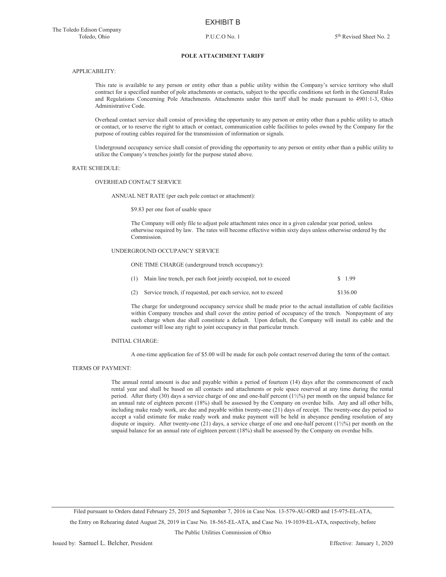### **POLE ATTACHMENT TARIFF**

### APPLICABILITY:

This rate is available to any person or entity other than a public utility within the Company's service territory who shall contract for a specified number of pole attachments or contacts, subject to the specific conditions set forth in the General Rules and Regulations Concerning Pole Attachments. Attachments under this tariff shall be made pursuant to 4901:1-3, Ohio Administrative Code.

Overhead contact service shall consist of providing the opportunity to any person or entity other than a public utility to attach or contact, or to reserve the right to attach or contact, communication cable facilities to poles owned by the Company for the purpose of routing cables required for the transmission of information or signals.

Underground occupancy service shall consist of providing the opportunity to any person or entity other than a public utility to utilize the Company's trenches jointly for the purpose stated above.

### RATE SCHEDULE:

#### OVERHEAD CONTACT SERVICE

ANNUAL NET RATE (per each pole contact or attachment):

\$9.83 per one foot of usable space

The Company will only file to adjust pole attachment rates once in a given calendar year period, unless otherwise required by law. The rates will become effective within sixty days unless otherwise ordered by the Commission.

### UNDERGROUND OCCUPANCY SERVICE

ONE TIME CHARGE (underground trench occupancy):

| (1) Main line trench, per each foot jointly occupied, not to exceed | \$1.99   |
|---------------------------------------------------------------------|----------|
| (2) Service trench, if requested, per each service, not to exceed   | \$136.00 |

The charge for underground occupancy service shall be made prior to the actual installation of cable facilities within Company trenches and shall cover the entire period of occupancy of the trench. Nonpayment of any such charge when due shall constitute a default. Upon default, the Company will install its cable and the customer will lose any right to joint occupancy in that particular trench.

### INITIAL CHARGE:

A one-time application fee of \$5.00 will be made for each pole contact reserved during the term of the contact.

### TERMS OF PAYMENT:

The annual rental amount is due and payable within a period of fourteen (14) days after the commencement of each rental year and shall be based on all contacts and attachments or pole space reserved at any time during the rental period. After thirty (30) days a service charge of one and one-half percent (1½%) per month on the unpaid balance for an annual rate of eighteen percent (18%) shall be assessed by the Company on overdue bills. Any and all other bills, including make ready work, are due and payable within twenty-one (21) days of receipt. The twenty-one day period to accept a valid estimate for make ready work and make payment will be held in abeyance pending resolution of any dispute or inquiry. After twenty-one (21) days, a service charge of one and one-half percent (1½%) per month on the unpaid balance for an annual rate of eighteen percent (18%) shall be assessed by the Company on overdue bills.

Filed pursuant to Orders dated February 25, 2015 and September 7, 2016 in Case Nos. 13-579-AU-ORD and 15-975-EL-ATA, the Entry on Rehearing dated August 28, 2019 in Case No. 18-565-EL-ATA, and Case No. 19-1039-EL-ATA, respectively, before

The Public Utilities Commission of Ohio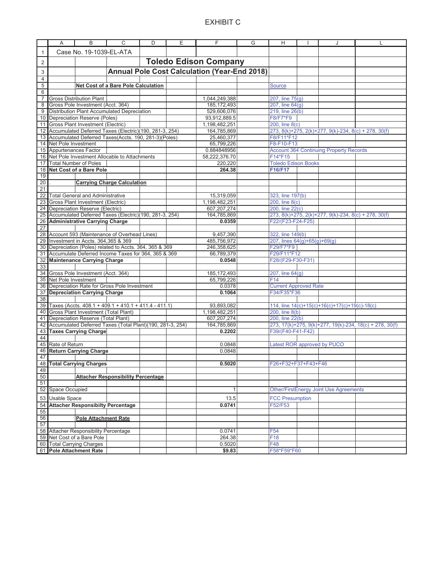### EXHIBIT C

|                | Α                                                   | В                                        | С                                                          | D | Ε | F             | G | Н                                                    |  | J                                                    |                                                         |
|----------------|-----------------------------------------------------|------------------------------------------|------------------------------------------------------------|---|---|---------------|---|------------------------------------------------------|--|------------------------------------------------------|---------------------------------------------------------|
| $\mathbf{1}$   |                                                     | Case No. 19-1039-EL-ATA                  |                                                            |   |   |               |   |                                                      |  |                                                      |                                                         |
| $\overline{2}$ |                                                     | <b>Toledo Edison Company</b>             |                                                            |   |   |               |   |                                                      |  |                                                      |                                                         |
| 3              | <b>Annual Pole Cost Calculation (Year-End 2018)</b> |                                          |                                                            |   |   |               |   |                                                      |  |                                                      |                                                         |
| $\overline{4}$ |                                                     |                                          |                                                            |   |   |               |   |                                                      |  |                                                      |                                                         |
| 5              |                                                     |                                          | Net Cost of a Bare Pole Calculation                        |   |   |               |   | <b>Source</b>                                        |  |                                                      |                                                         |
| 6              |                                                     |                                          |                                                            |   |   |               |   |                                                      |  |                                                      |                                                         |
| $\overline{7}$ |                                                     | <b>Gross Distribution Plant</b>          |                                                            |   |   | 1,044,249,388 |   | 207, line 75(g)                                      |  |                                                      |                                                         |
| 8              |                                                     | Gross Pole Investment (Acct. 364)        |                                                            |   |   | 185, 172, 493 |   | 207, line 64(g)                                      |  |                                                      |                                                         |
| 9              |                                                     |                                          | <b>Distribution Plant Accumulated Depreciation</b>         |   |   | 529,606,076   |   | 219, line 26(b)                                      |  |                                                      |                                                         |
|                |                                                     | 10 Depreciation Reserve (Poles)          |                                                            |   |   | 93,912,889.5  |   | F8/F7*F9                                             |  |                                                      |                                                         |
| 11             |                                                     | Gross Plant Investment (Electric)        |                                                            |   |   | 1,198,482,251 |   | 200, line 8(c)                                       |  |                                                      |                                                         |
|                |                                                     |                                          | 12 Accumulated Deferred Taxes (Electric)(190, 281-3, 254)  |   |   | 164,785,869   |   | 273, 8(k)+275, 2(k)+277, 9(k)-234, 8(c) + 278, 30(f) |  |                                                      |                                                         |
|                |                                                     |                                          | 13 Accumulated Deferred Taxes(Accts. 190, 281-3)(Poles)    |   |   | 25,460,377    |   | F8/F11*F12                                           |  |                                                      |                                                         |
|                | 14 Net Pole Investment                              |                                          |                                                            |   |   | 65,799,226    |   | F8-F10-F13                                           |  |                                                      |                                                         |
|                | 15 Appurtenances Factor                             |                                          |                                                            |   |   | 0.884848956   |   |                                                      |  | <b>Account 364 Continuing Property Records</b>       |                                                         |
|                |                                                     |                                          | 16 Net Pole Investment Allocable to Attachments            |   |   | 58,222,376.70 |   | F14*F15                                              |  |                                                      |                                                         |
|                | 17 Total Number of Poles                            |                                          |                                                            |   |   | 220,220       |   | <b>Toledo Edison Books</b>                           |  |                                                      |                                                         |
|                |                                                     | 18 Net Cost of a Bare Pole               |                                                            |   |   | 264.38        |   | F16/F17                                              |  |                                                      |                                                         |
| 19<br>20       |                                                     |                                          |                                                            |   |   |               |   |                                                      |  |                                                      |                                                         |
| 21             |                                                     |                                          | <b>Carrying Charge Calculation</b>                         |   |   |               |   |                                                      |  |                                                      |                                                         |
|                |                                                     | 22 Total General and Administrative      |                                                            |   |   | 15,319,059    |   | 323, line 197(b)                                     |  |                                                      |                                                         |
|                |                                                     | 23 Gross Plant Investment (Electric)     |                                                            |   |   | 1,198,482,251 |   | 200, line 8(c)                                       |  |                                                      |                                                         |
|                |                                                     | 24 Depreciation Reserve (Electric)       |                                                            |   |   | 607,207,274   |   | 200, line 22(c)                                      |  |                                                      |                                                         |
|                |                                                     |                                          | 25 Accumulated Deferred Taxes (Electric)(190, 281-3, 254)  |   |   | 164,785,869   |   |                                                      |  | 273, 8(k)+275, 2(k)+277, 9(k)-234, 8(c) + 278, 30(f) |                                                         |
|                |                                                     | 26 Administrative Carrying Charge        |                                                            |   |   | 0.0359        |   | F22/(F23-F24-F25)                                    |  |                                                      |                                                         |
| 27             |                                                     |                                          |                                                            |   |   |               |   |                                                      |  |                                                      |                                                         |
|                |                                                     |                                          | 28 Account 593 (Maintenance of Overhead Lines)             |   |   | 9,457,390     |   | 322, line 149(b)                                     |  |                                                      |                                                         |
|                |                                                     | 29 Investment in Accts. 364,365 & 369    |                                                            |   |   | 485,756,972   |   | 207, lines $64(g)+65(g)+69(g)$                       |  |                                                      |                                                         |
| 30             |                                                     |                                          | Depreciation (Poles) related to Accts. 364, 365 & 369      |   |   | 246,358,625   |   | F29/F7*F9                                            |  |                                                      |                                                         |
|                |                                                     |                                          | 31 Accumulate Deferred Income Taxes for 364, 365 & 369     |   |   | 66,789,379    |   | F29/F11*F12                                          |  |                                                      |                                                         |
| 32             |                                                     | <b>Maintenance Carrying Charge</b>       |                                                            |   |   | 0.0548        |   | F28/(F29-F30-F31)                                    |  |                                                      |                                                         |
| 33             |                                                     |                                          |                                                            |   |   |               |   |                                                      |  |                                                      |                                                         |
| 34             |                                                     | Gross Pole Investment (Acct. 364)        |                                                            |   |   | 185, 172, 493 |   | 207, line 64(g)                                      |  |                                                      |                                                         |
|                | 35 Net Pole Investment                              |                                          |                                                            |   |   | 65,799,226    |   | F14                                                  |  |                                                      |                                                         |
| 36             |                                                     |                                          | Depreciation Rate for Gross Pole Investment                |   |   | 0.0378        |   | <b>Current Approved Rate</b>                         |  |                                                      |                                                         |
| 37             |                                                     | <b>Depreciation Carrying Charge</b>      |                                                            |   |   | 0.1064        |   | F34/F35*F36                                          |  |                                                      |                                                         |
| 38             |                                                     |                                          |                                                            |   |   |               |   |                                                      |  |                                                      |                                                         |
|                |                                                     |                                          | 39 Taxes (Accts. 408.1 + 409.1 + 410.1 + 411.4 - 411.1)    |   |   | 93,893,082    |   |                                                      |  | 114, line 14(c)+15(c)+16(c)+17(c)+19(c)-18(c)        |                                                         |
| 40             |                                                     | Gross Plant Investment (Total Plant)     |                                                            |   |   | 1,198,482,251 |   | 200, line 8(b)                                       |  |                                                      |                                                         |
| 41             |                                                     | Depreciation Reserve (Total Plant)       |                                                            |   |   | 607,207,274   |   | 200, line 22(b)                                      |  |                                                      |                                                         |
| 42             |                                                     |                                          | Accumulated Deferred Taxes (Total Plant) (190, 281-3, 254) |   |   | 164,785,869   |   |                                                      |  |                                                      | 273, 17(k)+275, 9(k)+277, 19(k)-234, 18(c) + 278, 30(f) |
| 44             |                                                     | 43 Taxes Carrying Charge                 |                                                            |   |   | 0.2202        |   | F39/(F40-F41-F42)                                    |  |                                                      |                                                         |
|                | 45 Rate of Return                                   |                                          |                                                            |   |   | 0.0848        |   | Latest ROR approved by PUCO                          |  |                                                      |                                                         |
|                |                                                     | 46 Return Carrying Charge                |                                                            |   |   | 0.0848        |   |                                                      |  |                                                      |                                                         |
| 47             |                                                     |                                          |                                                            |   |   |               |   |                                                      |  |                                                      |                                                         |
|                |                                                     | 48 Total Carrying Charges                |                                                            |   |   | 0.5020        |   | F26+F32+F37+F43+F46                                  |  |                                                      |                                                         |
| 49             |                                                     |                                          |                                                            |   |   |               |   |                                                      |  |                                                      |                                                         |
| 50             |                                                     |                                          | <b>Attacher Responsibility Percentage</b>                  |   |   |               |   |                                                      |  |                                                      |                                                         |
| 51             |                                                     |                                          |                                                            |   |   |               |   |                                                      |  |                                                      |                                                         |
| 52             | Space Occupied                                      |                                          |                                                            |   |   | 1             |   |                                                      |  | Other/FirstEnergy Joint Use Agreements               |                                                         |
| 53             | <b>Usable Space</b>                                 |                                          |                                                            |   |   | 13.5          |   | <b>FCC Presumption</b>                               |  |                                                      |                                                         |
| 54             |                                                     | <b>Attacher Responsibilty Percentage</b> |                                                            |   |   | 0.0741        |   | F52/F53                                              |  |                                                      |                                                         |
| 55             |                                                     |                                          |                                                            |   |   |               |   |                                                      |  |                                                      |                                                         |
| 56             |                                                     | <b>Pole Attachment Rate</b>              |                                                            |   |   |               |   |                                                      |  |                                                      |                                                         |
| 57             |                                                     |                                          |                                                            |   |   |               |   |                                                      |  |                                                      |                                                         |
|                |                                                     | 58 Attacher Responsibility Percentage    |                                                            |   |   | 0.0741        |   | F <sub>54</sub>                                      |  |                                                      |                                                         |
|                |                                                     | 59 Net Cost of a Bare Pole               |                                                            |   |   | 264.38        |   | F18                                                  |  |                                                      |                                                         |
| 60             |                                                     | <b>Total Carrying Charges</b>            |                                                            |   |   | 0.5020        |   | F48                                                  |  |                                                      |                                                         |
|                |                                                     | 61 Pole Attachment Rate                  |                                                            |   |   | \$9.83        |   | F58*F59*F60                                          |  |                                                      |                                                         |
|                |                                                     |                                          |                                                            |   |   |               |   |                                                      |  |                                                      |                                                         |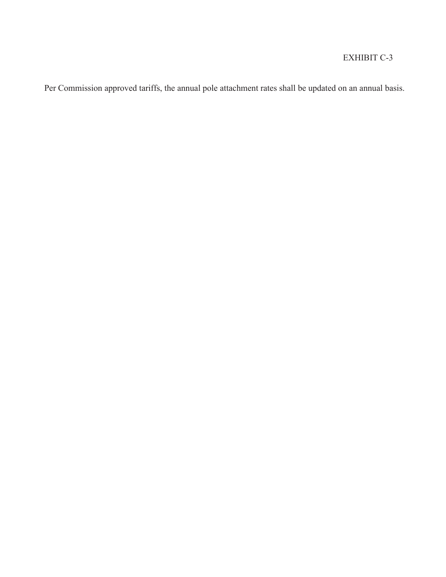## EXHIBIT C-3

Per Commission approved tariffs, the annual pole attachment rates shall be updated on an annual basis.